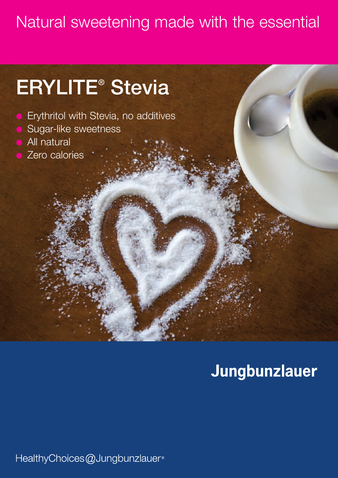## Natural sweetening made with the essential

# **ERYLITE® Stevia**

- l Erythritol with Stevia, no additives
- Sugar-like sweetness
- All natural
- Zero calories

## Jungbunzlauer

HealthyChoices@Jungbunzlauer®